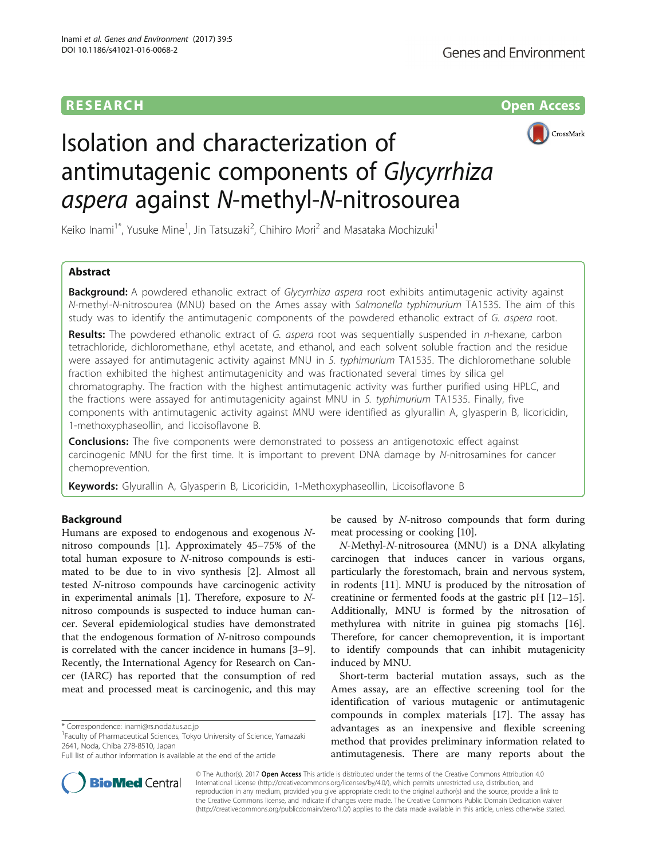## **RESEARCH CH Open Access**



# Isolation and characterization of antimutagenic components of Glycyrrhiza aspera against N-methyl-N-nitrosourea

Keiko Inami<sup>1\*</sup>, Yusuke Mine<sup>1</sup>, Jin Tatsuzaki<sup>2</sup>, Chihiro Mori<sup>2</sup> and Masataka Mochizuki<sup>1</sup>

## Abstract

**Background:** A powdered ethanolic extract of *Glycyrrhiza aspera* root exhibits antimutagenic activity against N-methyl-N-nitrosourea (MNU) based on the Ames assay with Salmonella typhimurium TA1535. The aim of this study was to identify the antimutagenic components of the powdered ethanolic extract of G. aspera root.

Results: The powdered ethanolic extract of G. aspera root was sequentially suspended in n-hexane, carbon tetrachloride, dichloromethane, ethyl acetate, and ethanol, and each solvent soluble fraction and the residue were assayed for antimutagenic activity against MNU in S. typhimurium TA1535. The dichloromethane soluble fraction exhibited the highest antimutagenicity and was fractionated several times by silica gel chromatography. The fraction with the highest antimutagenic activity was further purified using HPLC, and the fractions were assayed for antimutagenicity against MNU in S. typhimurium TA1535. Finally, five components with antimutagenic activity against MNU were identified as glyurallin A, glyasperin B, licoricidin, 1-methoxyphaseollin, and licoisoflavone B.

**Conclusions:** The five components were demonstrated to possess an antigenotoxic effect against carcinogenic MNU for the first time. It is important to prevent DNA damage by N-nitrosamines for cancer chemoprevention.

Keywords: Glyurallin A, Glyasperin B, Licoricidin, 1-Methoxyphaseollin, Licoisoflavone B

### Background

Humans are exposed to endogenous and exogenous Nnitroso compounds [\[1](#page-5-0)]. Approximately 45–75% of the total human exposure to N-nitroso compounds is estimated to be due to in vivo synthesis [\[2](#page-5-0)]. Almost all tested N-nitroso compounds have carcinogenic activity in experimental animals  $[1]$ . Therefore, exposure to  $N$ nitroso compounds is suspected to induce human cancer. Several epidemiological studies have demonstrated that the endogenous formation of N-nitroso compounds is correlated with the cancer incidence in humans [\[3](#page-5-0)–[9](#page-5-0)]. Recently, the International Agency for Research on Cancer (IARC) has reported that the consumption of red meat and processed meat is carcinogenic, and this may

Faculty of Pharmaceutical Sciences, Tokyo University of Science, Yamazaki 2641, Noda, Chiba 278-8510, Japan

be caused by N-nitroso compounds that form during meat processing or cooking [[10\]](#page-5-0).

N-Methyl-N-nitrosourea (MNU) is a DNA alkylating carcinogen that induces cancer in various organs, particularly the forestomach, brain and nervous system, in rodents [\[11\]](#page-5-0). MNU is produced by the nitrosation of creatinine or fermented foods at the gastric pH [[12](#page-5-0)–[15](#page-5-0)]. Additionally, MNU is formed by the nitrosation of methylurea with nitrite in guinea pig stomachs [\[16](#page-5-0)]. Therefore, for cancer chemoprevention, it is important to identify compounds that can inhibit mutagenicity induced by MNU.

Short-term bacterial mutation assays, such as the Ames assay, are an effective screening tool for the identification of various mutagenic or antimutagenic compounds in complex materials [[17\]](#page-5-0). The assay has advantages as an inexpensive and flexible screening method that provides preliminary information related to antimutagenesis. There are many reports about the



© The Author(s). 2017 **Open Access** This article is distributed under the terms of the Creative Commons Attribution 4.0 International License [\(http://creativecommons.org/licenses/by/4.0/](http://creativecommons.org/licenses/by/4.0/)), which permits unrestricted use, distribution, and reproduction in any medium, provided you give appropriate credit to the original author(s) and the source, provide a link to the Creative Commons license, and indicate if changes were made. The Creative Commons Public Domain Dedication waiver [\(http://creativecommons.org/publicdomain/zero/1.0/](http://creativecommons.org/publicdomain/zero/1.0/)) applies to the data made available in this article, unless otherwise stated.

<sup>\*</sup> Correspondence: [inami@rs.noda.tus.ac.jp](mailto:inami@rs.noda.tus.ac.jp) <sup>1</sup>

Full list of author information is available at the end of the article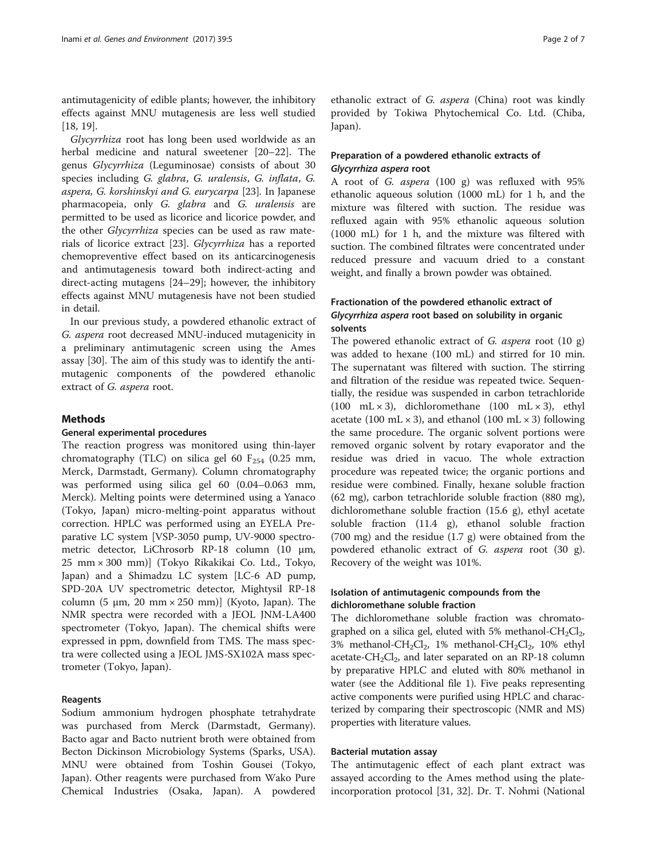antimutagenicity of edible plants; however, the inhibitory effects against MNU mutagenesis are less well studied [[18, 19\]](#page-5-0).

Glycyrrhiza root has long been used worldwide as an herbal medicine and natural sweetener [\[20](#page-5-0)–[22](#page-5-0)]. The genus Glycyrrhiza (Leguminosae) consists of about 30 species including G. glabra, G. uralensis, G. inflata, G. aspera, G. korshinskyi and G. eurycarpa [\[23\]](#page-5-0). In Japanese pharmacopeia, only G. glabra and G. uralensis are permitted to be used as licorice and licorice powder, and the other Glycyrrhiza species can be used as raw materials of licorice extract [[23\]](#page-5-0). Glycyrrhiza has a reported chemopreventive effect based on its anticarcinogenesis and antimutagenesis toward both indirect-acting and direct-acting mutagens [[24](#page-5-0)–[29](#page-5-0)]; however, the inhibitory effects against MNU mutagenesis have not been studied in detail.

In our previous study, a powdered ethanolic extract of G. aspera root decreased MNU-induced mutagenicity in a preliminary antimutagenic screen using the Ames assay [[30](#page-5-0)]. The aim of this study was to identify the antimutagenic components of the powdered ethanolic extract of G. aspera root.

#### **Methods**

#### General experimental procedures

The reaction progress was monitored using thin-layer chromatography (TLC) on silica gel 60  $F_{254}$  (0.25 mm, Merck, Darmstadt, Germany). Column chromatography was performed using silica gel 60 (0.04–0.063 mm, Merck). Melting points were determined using a Yanaco (Tokyo, Japan) micro-melting-point apparatus without correction. HPLC was performed using an EYELA Preparative LC system [VSP-3050 pump, UV-9000 spectrometric detector, LiChrosorb RP-18 column (10 μm, 25 mm × 300 mm)] (Tokyo Rikakikai Co. Ltd., Tokyo, Japan) and a Shimadzu LC system [LC-6 AD pump, SPD-20A UV spectrometric detector, Mightysil RP-18 column (5 μm, 20 mm × 250 mm)] (Kyoto, Japan). The NMR spectra were recorded with a JEOL JNM-LA400 spectrometer (Tokyo, Japan). The chemical shifts were expressed in ppm, downfield from TMS. The mass spectra were collected using a JEOL JMS-SX102A mass spectrometer (Tokyo, Japan).

#### Reagents

Sodium ammonium hydrogen phosphate tetrahydrate was purchased from Merck (Darmstadt, Germany). Bacto agar and Bacto nutrient broth were obtained from Becton Dickinson Microbiology Systems (Sparks, USA). MNU were obtained from Toshin Gousei (Tokyo, Japan). Other reagents were purchased from Wako Pure Chemical Industries (Osaka, Japan). A powdered

ethanolic extract of G. aspera (China) root was kindly provided by Tokiwa Phytochemical Co. Ltd. (Chiba, Japan).

#### Preparation of a powdered ethanolic extracts of Glycyrrhiza aspera root

A root of G. aspera (100 g) was refluxed with 95% ethanolic aqueous solution (1000 mL) for 1 h, and the mixture was filtered with suction. The residue was refluxed again with 95% ethanolic aqueous solution (1000 mL) for 1 h, and the mixture was filtered with suction. The combined filtrates were concentrated under reduced pressure and vacuum dried to a constant weight, and finally a brown powder was obtained.

## Fractionation of the powdered ethanolic extract of Glycyrrhiza aspera root based on solubility in organic solvents

The powered ethanolic extract of G. aspera root (10 g) was added to hexane (100 mL) and stirred for 10 min. The supernatant was filtered with suction. The stirring and filtration of the residue was repeated twice. Sequentially, the residue was suspended in carbon tetrachloride (100 mL  $\times$  3), dichloromethane (100 mL  $\times$  3), ethyl acetate (100 mL  $\times$  3), and ethanol (100 mL  $\times$  3) following the same procedure. The organic solvent portions were removed organic solvent by rotary evaporator and the residue was dried in vacuo. The whole extraction procedure was repeated twice; the organic portions and residue were combined. Finally, hexane soluble fraction (62 mg), carbon tetrachloride soluble fraction (880 mg), dichloromethane soluble fraction (15.6 g), ethyl acetate soluble fraction (11.4 g), ethanol soluble fraction (700 mg) and the residue (1.7 g) were obtained from the powdered ethanolic extract of G. aspera root (30 g). Recovery of the weight was 101%.

### Isolation of antimutagenic compounds from the dichloromethane soluble fraction

The dichloromethane soluble fraction was chromatographed on a silica gel, eluted with 5% methanol- $CH_2Cl_2$ , 3% methanol-CH<sub>2</sub>Cl<sub>2</sub>, 1% methanol-CH<sub>2</sub>Cl<sub>2</sub>, 10% ethyl acetate-CH<sub>2</sub>Cl<sub>2</sub>, and later separated on an RP-18 column by preparative HPLC and eluted with 80% methanol in water (see the Additional file [1](#page-5-0)). Five peaks representing active components were purified using HPLC and characterized by comparing their spectroscopic (NMR and MS) properties with literature values.

#### Bacterial mutation assay

The antimutagenic effect of each plant extract was assayed according to the Ames method using the plateincorporation protocol [\[31, 32\]](#page-5-0). Dr. T. Nohmi (National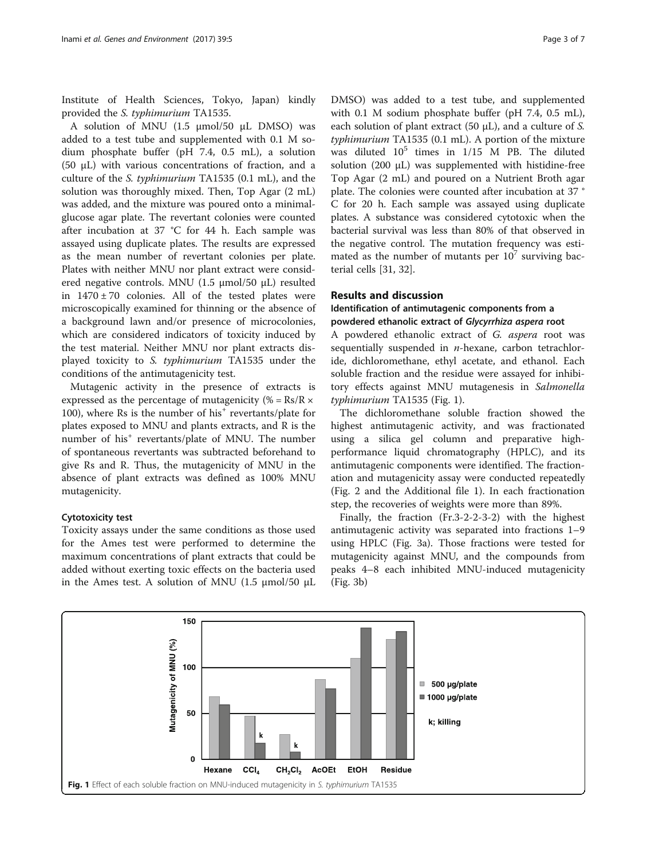Institute of Health Sciences, Tokyo, Japan) kindly provided the S. typhimurium TA1535.

A solution of MNU (1.5 μmol/50 μL DMSO) was added to a test tube and supplemented with 0.1 M sodium phosphate buffer (pH 7.4, 0.5 mL), a solution (50 μL) with various concentrations of fraction, and a culture of the S. typhimurium TA1535 (0.1 mL), and the solution was thoroughly mixed. Then, Top Agar (2 mL) was added, and the mixture was poured onto a minimalglucose agar plate. The revertant colonies were counted after incubation at 37 °C for 44 h. Each sample was assayed using duplicate plates. The results are expressed as the mean number of revertant colonies per plate. Plates with neither MNU nor plant extract were considered negative controls. MNU (1.5 μmol/50 μL) resulted in  $1470 \pm 70$  colonies. All of the tested plates were microscopically examined for thinning or the absence of a background lawn and/or presence of microcolonies, which are considered indicators of toxicity induced by the test material. Neither MNU nor plant extracts displayed toxicity to S. typhimurium TA1535 under the conditions of the antimutagenicity test.

Mutagenic activity in the presence of extracts is expressed as the percentage of mutagenicity (% =  $Rs/R \times$ 100), where Rs is the number of his<sup>+</sup> revertants/plate for plates exposed to MNU and plants extracts, and R is the number of his<sup>+</sup> revertants/plate of MNU. The number of spontaneous revertants was subtracted beforehand to give Rs and R. Thus, the mutagenicity of MNU in the absence of plant extracts was defined as 100% MNU mutagenicity.

#### Cytotoxicity test

Toxicity assays under the same conditions as those used for the Ames test were performed to determine the maximum concentrations of plant extracts that could be added without exerting toxic effects on the bacteria used in the Ames test. A solution of MNU (1.5 μmol/50 μL DMSO) was added to a test tube, and supplemented with 0.1 M sodium phosphate buffer (pH 7.4, 0.5 mL), each solution of plant extract  $(50 \mu L)$ , and a culture of S. typhimurium TA1535 (0.1 mL). A portion of the mixture was diluted  $10^5$  times in  $1/15$  M PB. The diluted solution (200 μL) was supplemented with histidine-free Top Agar (2 mL) and poured on a Nutrient Broth agar plate. The colonies were counted after incubation at 37 ° C for 20 h. Each sample was assayed using duplicate plates. A substance was considered cytotoxic when the bacterial survival was less than 80% of that observed in the negative control. The mutation frequency was estimated as the number of mutants per  $10^7$  surviving bacterial cells [\[31](#page-5-0), [32\]](#page-5-0).

#### Results and discussion

### Identification of antimutagenic components from a powdered ethanolic extract of Glycyrrhiza aspera root

A powdered ethanolic extract of G. aspera root was sequentially suspended in  $n$ -hexane, carbon tetrachloride, dichloromethane, ethyl acetate, and ethanol. Each soluble fraction and the residue were assayed for inhibitory effects against MNU mutagenesis in Salmonella typhimurium TA1535 (Fig. 1).

The dichloromethane soluble fraction showed the highest antimutagenic activity, and was fractionated using a silica gel column and preparative highperformance liquid chromatography (HPLC), and its antimutagenic components were identified. The fractionation and mutagenicity assay were conducted repeatedly (Fig. [2](#page-3-0) and the Additional file [1](#page-5-0)). In each fractionation step, the recoveries of weights were more than 89%.

Finally, the fraction (Fr.3-2-2-3-2) with the highest antimutagenic activity was separated into fractions 1–9 using HPLC (Fig. [3a](#page-3-0)). Those fractions were tested for mutagenicity against MNU, and the compounds from peaks 4–8 each inhibited MNU-induced mutagenicity (Fig. [3b](#page-3-0))

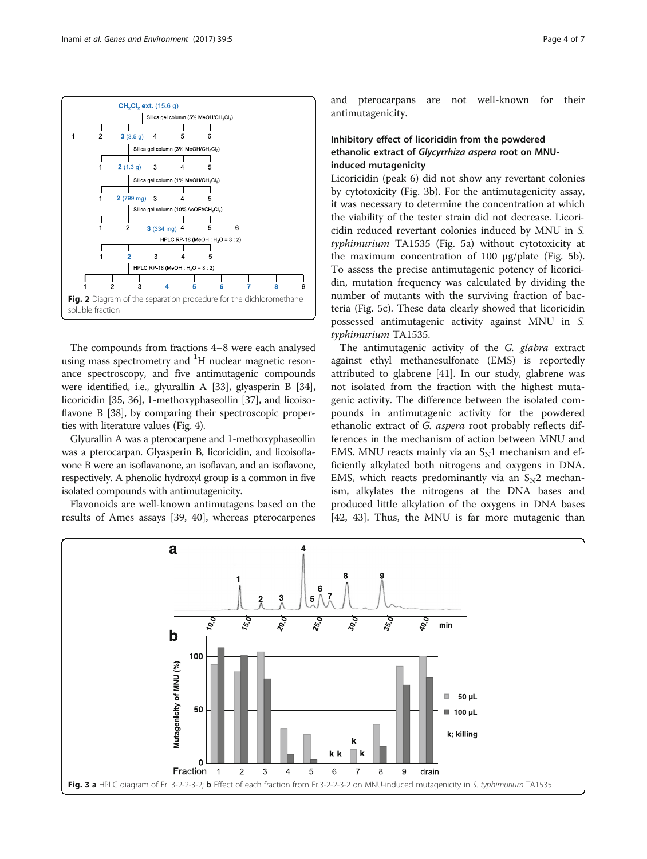<span id="page-3-0"></span>

The compounds from fractions 4–8 were each analysed using mass spectrometry and <sup>1</sup>H nuclear magnetic resonance spectroscopy, and five antimutagenic compounds were identified, i.e., glyurallin A [\[33\]](#page-5-0), glyasperin B [[34](#page-5-0)], licoricidin [\[35, 36\]](#page-6-0), 1-methoxyphaseollin [[37](#page-6-0)], and licoisoflavone B [[38](#page-6-0)], by comparing their spectroscopic properties with literature values (Fig. [4](#page-4-0)).

Glyurallin A was a pterocarpene and 1-methoxyphaseollin was a pterocarpan. Glyasperin B, licoricidin, and licoisoflavone B were an isoflavanone, an isoflavan, and an isoflavone, respectively. A phenolic hydroxyl group is a common in five isolated compounds with antimutagenicity.

Flavonoids are well-known antimutagens based on the results of Ames assays [\[39, 40](#page-6-0)], whereas pterocarpenes and pterocarpans are not well-known for their antimutagenicity.

## Inhibitory effect of licoricidin from the powdered ethanolic extract of Glycyrrhiza aspera root on MNUinduced mutagenicity

Licoricidin (peak 6) did not show any revertant colonies by cytotoxicity (Fig. 3b). For the antimutagenicity assay, it was necessary to determine the concentration at which the viability of the tester strain did not decrease. Licoricidin reduced revertant colonies induced by MNU in S. typhimurium TA1535 (Fig. [5a\)](#page-4-0) without cytotoxicity at the maximum concentration of 100 μg/plate (Fig. [5b](#page-4-0)). To assess the precise antimutagenic potency of licoricidin, mutation frequency was calculated by dividing the number of mutants with the surviving fraction of bacteria (Fig. [5c\)](#page-4-0). These data clearly showed that licoricidin possessed antimutagenic activity against MNU in S. typhimurium TA1535.

The antimutagenic activity of the G. glabra extract against ethyl methanesulfonate (EMS) is reportedly attributed to glabrene [\[41](#page-6-0)]. In our study, glabrene was not isolated from the fraction with the highest mutagenic activity. The difference between the isolated compounds in antimutagenic activity for the powdered ethanolic extract of G. aspera root probably reflects differences in the mechanism of action between MNU and EMS. MNU reacts mainly via an  $S<sub>N</sub>1$  mechanism and efficiently alkylated both nitrogens and oxygens in DNA. EMS, which reacts predominantly via an  $S_N2$  mechanism, alkylates the nitrogens at the DNA bases and produced little alkylation of the oxygens in DNA bases [[42, 43\]](#page-6-0). Thus, the MNU is far more mutagenic than

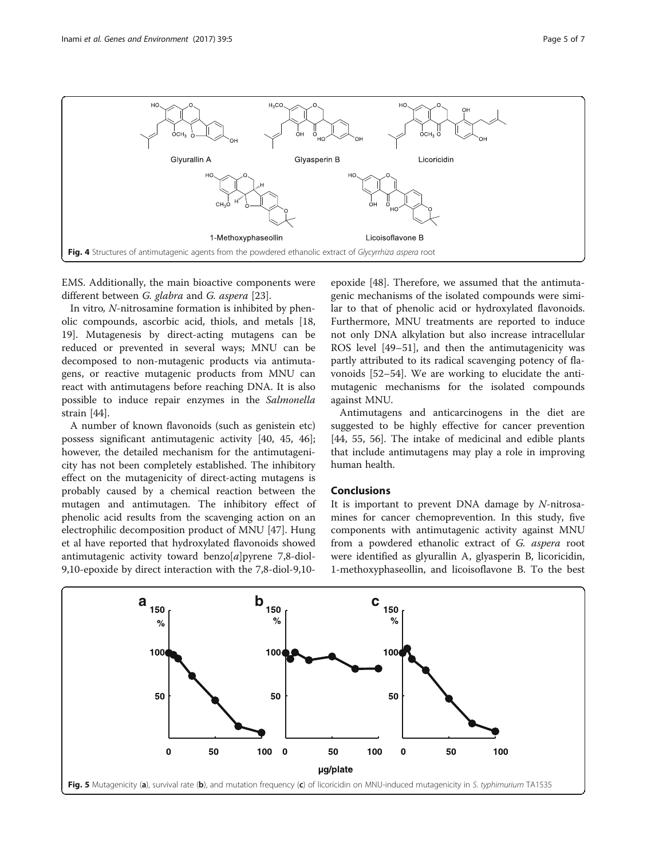

<span id="page-4-0"></span>

EMS. Additionally, the main bioactive components were different between G. glabra and G. aspera [[23\]](#page-5-0).

In vitro, N-nitrosamine formation is inhibited by phenolic compounds, ascorbic acid, thiols, and metals [[18](#page-5-0), [19\]](#page-5-0). Mutagenesis by direct-acting mutagens can be reduced or prevented in several ways; MNU can be decomposed to non-mutagenic products via antimutagens, or reactive mutagenic products from MNU can react with antimutagens before reaching DNA. It is also possible to induce repair enzymes in the Salmonella strain [[44\]](#page-6-0).

A number of known flavonoids (such as genistein etc) possess significant antimutagenic activity [[40](#page-6-0), [45, 46](#page-6-0)]; however, the detailed mechanism for the antimutagenicity has not been completely established. The inhibitory effect on the mutagenicity of direct-acting mutagens is probably caused by a chemical reaction between the mutagen and antimutagen. The inhibitory effect of phenolic acid results from the scavenging action on an electrophilic decomposition product of MNU [\[47](#page-6-0)]. Hung et al have reported that hydroxylated flavonoids showed antimutagenic activity toward benzo $[a]$ pyrene 7,8-diol-9,10-epoxide by direct interaction with the 7,8-diol-9,10-

epoxide [\[48](#page-6-0)]. Therefore, we assumed that the antimutagenic mechanisms of the isolated compounds were similar to that of phenolic acid or hydroxylated flavonoids. Furthermore, MNU treatments are reported to induce not only DNA alkylation but also increase intracellular ROS level [[49](#page-6-0)–[51](#page-6-0)], and then the antimutagenicity was partly attributed to its radical scavenging potency of flavonoids [[52](#page-6-0)–[54](#page-6-0)]. We are working to elucidate the antimutagenic mechanisms for the isolated compounds against MNU.

Antimutagens and anticarcinogens in the diet are suggested to be highly effective for cancer prevention [[44, 55](#page-6-0), [56](#page-6-0)]. The intake of medicinal and edible plants that include antimutagens may play a role in improving human health.

## Conclusions

It is important to prevent DNA damage by N-nitrosamines for cancer chemoprevention. In this study, five components with antimutagenic activity against MNU from a powdered ethanolic extract of G. aspera root were identified as glyurallin A, glyasperin B, licoricidin, 1-methoxyphaseollin, and licoisoflavone B. To the best

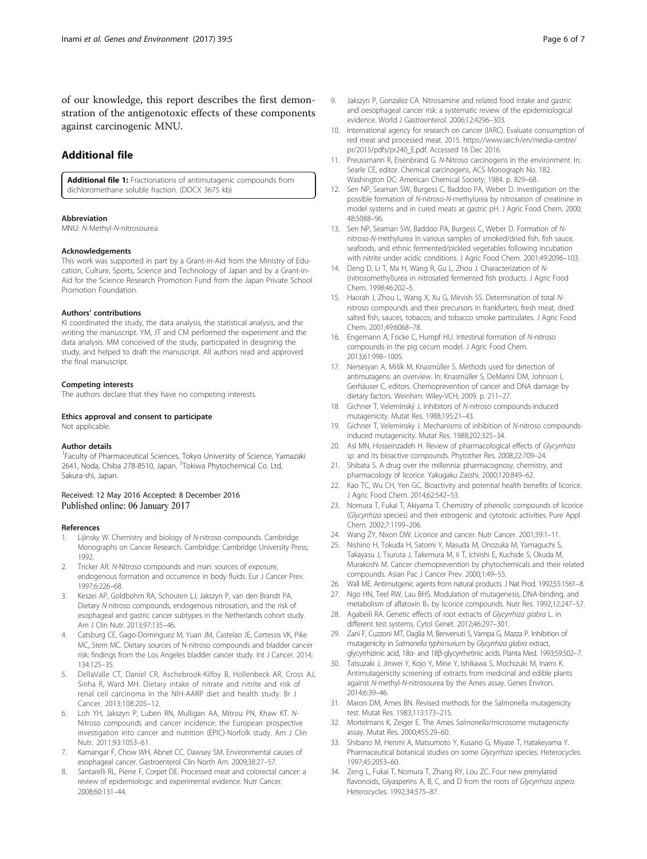<span id="page-5-0"></span>of our knowledge, this report describes the first demonstration of the antigenotoxic effects of these components against carcinogenic MNU.

## Additional file

[Additional file 1:](dx.doi.org/10.1186/s41021-016-0068-2) Fractionations of antimutagenic compounds from dichloromethane soluble fraction. (DOCX 3675 kb)

#### Abbreviation

MNU: N-Methyl-N-nitrosourea

#### Acknowledgements

This work was supported in part by a Grant-in-Aid from the Ministry of Education, Culture, Sports, Science and Technology of Japan and by a Grant-in-Aid for the Science Research Promotion Fund from the Japan Private School Promotion Foundation.

#### Authors' contributions

KI coordinated the study, the data analysis, the statistical analysis, and the writing the manuscript. YM, JT and CM performed the experiment and the data analysis. MM conceived of the study, participated in designing the study, and helped to draft the manuscript. All authors read and approved the final manuscript.

#### Competing interests

The authors declare that they have no competing interests.

Ethics approval and consent to participate Not applicable.

#### Author details

<sup>1</sup>Faculty of Pharmaceutical Sciences, Tokyo University of Science, Yamazaki 2641, Noda, Chiba 278-8510, Japan. <sup>2</sup>Tokiwa Phytochemical Co. Ltd, Sakura-shi, Japan.

#### Received: 12 May 2016 Accepted: 8 December 2016 Published online: 06 January 2017

#### References

- Lijinsky W. Chemistry and biology of N-nitroso compounds. Cambridge Monographs on Cancer Research. Cambridge: Cambridge University Press; 1992.
- 2. Tricker AR. N-Nitroso compounds and man: sources of exposure, endogenous formation and occurrence in body fluids. Eur J Cancer Prev. 1997;6:226–68.
- 3. Keszei AP, Goldbohm RA, Schouten LJ, Jakszyn P, van den Brandt PA. Dietary N-nitroso compounds, endogenous nitrosation, and the risk of esophageal and gastric cancer subtypes in the Netherlands cohort study. Am J Clin Nutr. 2013;97:135–46.
- 4. Catsburg CE, Gago-Dominguez M, Yuan JM, Castelao JE, Cortessis VK, Pike MC, Stern MC. Dietary sources of N-nitroso compounds and bladder cancer risk: findings from the Los Angeles bladder cancer study. Int J Cancer. 2014; 134:125–35.
- 5. DellaValle CT, Daniel CR, Aschebrook-Kilfoy B, Hollenbeck AR, Cross AJ, Sinha R, Ward MH. Dietary intake of nitrate and nitrite and risk of renal cell carcinoma in the NIH-AARP diet and health study. Br J Cancer. 2013;108:205–12.
- 6. Loh YH, Jakszyn P, Luben RN, Mulligan AA, Mitrou PN, Khaw KT. N-Nitroso compounds and cancer incidence: the European prospective investigation into cancer and nutrition (EPIC)-Norfolk study. Am J Clin Nutr. 2011;93:1053–61.
- 7. Kamangar F, Chow WH, Abnet CC, Dawsey SM. Environmental causes of esophageal cancer. Gastroenterol Clin North Am. 2009;38:27–57.
- Santarelli RL, Pierre F, Corpet DE. Processed meat and colorectal cancer: a review of epidemiologic and experimental evidence. Nutr Cancer. 2008;60:131–44.
- 9. Jakszyn P, Gonzalez CA. Nitrosamine and related food intake and gastric and oesophageal cancer risk: a systematic review of the epidemiological evidence. World J Gastroenterol. 2006;12:4296–303.
- 10. International agency for research on cancer (IARC). Evaluate consumption of red meat and processed meat. 2015. [https://www.iarc.fr/en/media-centre/](https://www.iarc.fr/en/media-centre/pr/2015/pdfs/pr240_E.pdf) [pr/2015/pdfs/pr240\\_E.pdf.](https://www.iarc.fr/en/media-centre/pr/2015/pdfs/pr240_E.pdf) Accessed 16 Dec 2016.
- 11. Preussmann R, Eisenbrand G. N-Nitroso carcinogens in the environment. In: Searle CE, editor. Chemical carcinogens, ACS Monograph No. 182. Washington DC: American Chemical Society; 1984. p. 829–68.
- 12. Sen NP, Seaman SW, Burgess C, Baddoo PA, Weber D. Investigation on the possible formation of N-nitroso-N-methylurea by nitrosation of creatinine in model systems and in cured meats at gastric pH. J Agric Food Chem. 2000; 48:5088–96.
- 13. Sen NP, Seaman SW, Baddoo PA, Burgess C, Weber D. Formation of Nnitroso-N-methylurea in various samples of smoked/dried fish, fish sauce, seafoods, and ethnic fermented/pickled vegetables following incubation with nitrite under acidic conditions. J Agric Food Chem. 2001;49:2096–103.
- 14. Deng D, Li T, Ma H, Wang R, Gu L, Zhou J. Characterization of N- (nitrosomethyl)urea in nitrosated fermented fish products. J Agric Food Chem. 1998;46:202–5.
- 15. Haorah J, Zhou L, Wang X, Xu G, Mirvish SS. Determination of total Nnitroso compounds and their precursors in frankfurters, fresh meat, dried salted fish, sauces, tobacco, and tobacco smoke particulates. J Agric Food Chem. 2001;49:6068–78.
- 16. Engemann A, Focke C, Humpf HU. Intestinal formation of N-nitroso compounds in the pig cecum model. J Agric Food Chem. 2013;61:998–1005.
- 17. Nersesyan A, Mišík M, Knasmüller S. Methods used for detection of antimutagens: an overview. In: Knasmüller S, DeMarini DM, Johnson I, Gerhäuser C, editors. Chemoprevention of cancer and DNA damage by dietary factors. Weinhim: Wiley-VCH; 2009. p. 211–27.
- 18. Gichner T, Velemínský J. Inhibitors of N-nitroso compounds-induced mutagenicity. Mutat Res. 1988;195:21–43.
- 19. Gichner T, Veleminsky J. Mechanisms of inhibition of N-nitroso compoundsinduced mutagenicity. Mutat Res. 1988;202:325–34.
- 20. Asl MN, Hosseinzadeh H. Review of pharmacological effects of Glycyrrhiza sp. and its bioactive compounds. Phytother Res. 2008;22:709–24.
- 21. Shibata S. A drug over the millennia: pharmacognosy, chemistry, and pharmacology of licorice. Yakugaku Zasshi. 2000;120:849–62.
- 22. Kao TC, Wu CH, Yen GC. Bioactivity and potential health benefits of licorice. J Agric Food Chem. 2014;62:542–53.
- 23. Nomura T, Fukai T, Akiyama T. Chemistry of phenolic compounds of licorice (Glycyrrhiza species) and their estrogenic and cytotoxic activities. Pure Appl Chem. 2002;7:1199–206.
- 24. Wang ZY, Nixon DW. Licorice and cancer. Nutr Cancer. 2001;39:1–11.
- 25. Nishino H, Tokuda H, Satomi Y, Masuda M, Onozuka M, Yamaguchi S, Takayasu J, Tsuruta J, Takemura M, Ii T, Ichiishi E, Kuchide S, Okuda M, Murakoshi M. Cancer chemoprevention by phytochemicals and their related compounds. Asian Pac J Cancer Prev. 2000;1:49–55.
- 26. Wall ME. Antimutgenic agents from natural products. J Nat Prod. 1992;55:1561–8.
- 27. Ngo HN, Teel RW, Lau BHS. Modulation of mutagenesis, DNA-binding, and metabolism of aflatoxin  $B_1$  by licorice compounds. Nutr Res. 1992;12:247-57.
- 28. Agabeili RA. Genetic effects of root extracts of Glycyrrhiza glabra L. in different test systems. Cytol Genet. 2012;46:297–301.
- 29. Zani F, Cuzzoni MT, Daglia M, Benvenuti S, Vampa G, Mazza P. Inhibition of mutagenicity in Salmonella typhimurium by Glycyrrhiza glabra extract, glycyrrhizinic acid, 18α- and 18β-glycyrrhetinic acids. Planta Med. 1993;59:502–7.
- 30. Tatsuzaki J, Jinwei Y, Kojo Y, Mine Y, Ishikawa S, Mochizuki M, Inami K. Antimutagenicity screening of extracts from medicinal and edible plants against N-methyl-N-nitrosourea by the Ames assay. Genes Environ. 2014;6:39–46.
- 31. Maron DM, Ames BN. Revised methods for the Salmonella mutagenicity test. Mutat Res. 1983;113:173–215.
- 32. Mortelmans K, Zeiger E. The Ames Salmonella/microsome mutagenicity assay. Mutat Res. 2000;455:29–60.
- 33. Shibano M, Henmi A, Matsumoto Y, Kusano G, Miyase T, Hatakeyama Y. Pharmaceutical botanical studies on some Glycyrrhiza species. Heterocycles. 1997;45:2053–60.
- 34. Zeng L, Fukai T, Nomura T, Zhang RY, Lou ZC. Four new prenylated flavonoids, Glyasperins A, B, C, and D from the roots of Glycyrrhiza aspera. Heterocycles. 1992;34:575–87.